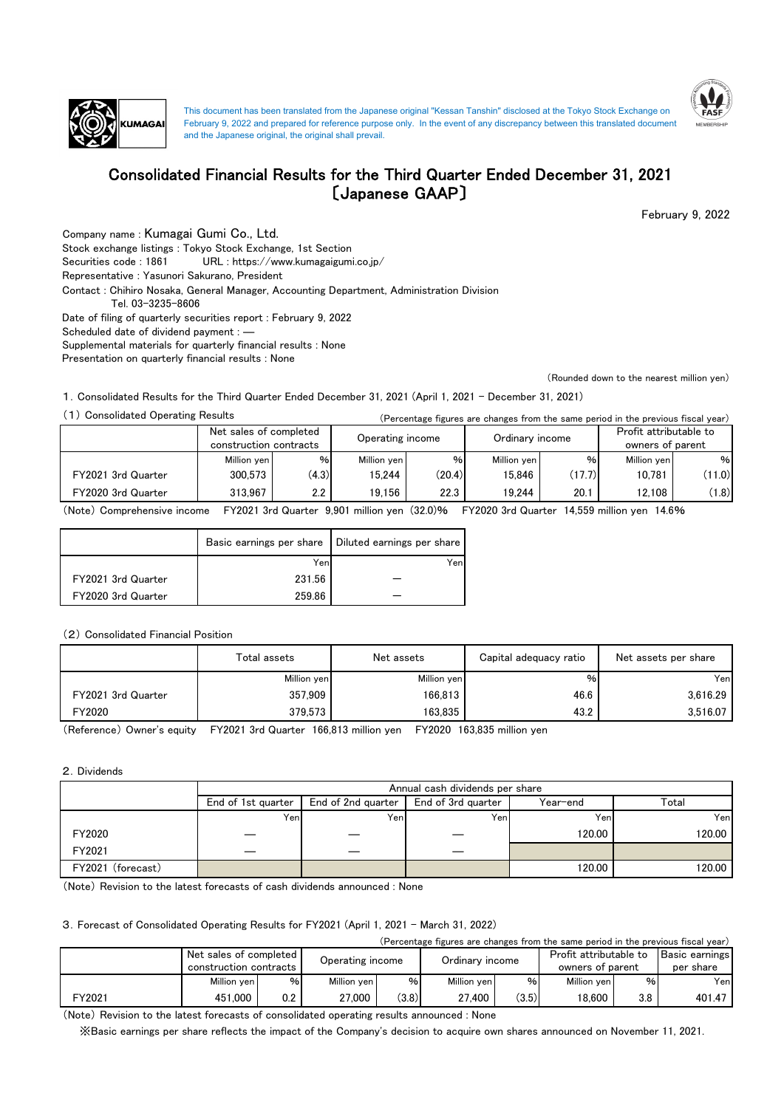



# Consolidated Financial Results for the Third Quarter Ended December 31, 2021 〔Japanese GAAP〕

February 9, 2022

Company name : Kumagai Gumi Co., Ltd. Stock exchange listings : Tokyo Stock Exchange, 1st Section Contact : Chihiro Nosaka, General Manager, Accounting Department, Administration Division Securities code : 1861 URL : https://www.kumagaigumi.co.jp/ Representative : Yasunori Sakurano, President Date of filing of quarterly securities report : February 9, 2022 Scheduled date of dividend payment : ― Tel. 03-3235-8606 Supplemental materials for quarterly financial results : None Presentation on quarterly financial results : None

(Rounded down to the nearest million yen)

1.Consolidated Results for the Third Quarter Ended December 31, 2021 (April 1, 2021 - December 31, 2021)

(1) Consolidated Operating Results (Percentage figures are changes from the same period in the previous fiscal year)

|                    | Net sales of completed<br>construction contracts |         | Operating income |        | Ordinary income |        | Profit attributable to<br>owners of parent |        |
|--------------------|--------------------------------------------------|---------|------------------|--------|-----------------|--------|--------------------------------------------|--------|
|                    | Million yen                                      | $\%$    | Million yen      | %      | Million ven     | $\%$   | Million ven                                | %      |
| FY2021 3rd Quarter | 300.573                                          | (4.3)   | 15.244           | (20.4) | 15.846          | (17.7) | 10.781                                     | (11.0) |
| FY2020 3rd Quarter | 313.967                                          | $2.2\,$ | 19.156           | 22.3   | 19.244          | 20.1   | 12.108                                     | (1.8)  |

(Note) Comprehensive income FY2021 3rd Quarter 9,901 million yen (32.0)% FY2020 3rd Quarter 14,559 million yen 14.6%

|                    |        | Basic earnings per share   Diluted earnings per share |
|--------------------|--------|-------------------------------------------------------|
|                    | Yen    | Yen                                                   |
| FY2021 3rd Quarter | 231.56 |                                                       |
| FY2020 3rd Quarter | 259.86 |                                                       |

### (2) Consolidated Financial Position

|                    | Total assets | Net assets  | Capital adequacy ratio | Net assets per share |
|--------------------|--------------|-------------|------------------------|----------------------|
|                    | Million yen  | Million yen | %                      | Yenl                 |
| FY2021 3rd Quarter | 357.909      | 166.813     | 46.6                   | 3.616.29             |
| FY2020             | 379.573      | 163.835     | 43.2                   | 3,516.07             |

(Reference) Owner's equity FY2021 3rd Quarter 166,813 million yen FY2020 163,835 million yen

#### 2.Dividends

|                   | Annual cash dividends per share |                    |                    |          |        |  |  |  |
|-------------------|---------------------------------|--------------------|--------------------|----------|--------|--|--|--|
|                   | End of 1st quarter              | End of 2nd quarter | End of 3rd guarter | Year-end | Total  |  |  |  |
|                   | Yenl                            | Yeni               | Yeni               | Yeni     | Yenl   |  |  |  |
| FY2020            |                                 |                    |                    | 120.00   | 120.00 |  |  |  |
| FY2021            |                                 |                    | __                 |          |        |  |  |  |
| FY2021 (forecast) |                                 |                    |                    | 120.00   | 120.00 |  |  |  |

(Note) Revision to the latest forecasts of cash dividends announced : None

### 3.Forecast of Consolidated Operating Results for FY2021 (April 1, 2021 - March 31, 2022)

| (Percentage figures are changes from the same period in the previous fiscal year) |                        |     |                  |       |             |                 |                  |                        |                       |
|-----------------------------------------------------------------------------------|------------------------|-----|------------------|-------|-------------|-----------------|------------------|------------------------|-----------------------|
|                                                                                   | Net sales of completed |     |                  |       |             | Ordinary income |                  | Profit attributable to | <b>Basic earnings</b> |
|                                                                                   | construction contracts |     | Operating income |       |             |                 | owners of parent |                        | per share             |
|                                                                                   | Million ven            | %   | Million ven      | %     | Million ven | %               | Million ven      | $\%$                   | Yenl                  |
| FY2021                                                                            | 451.000                | 0.2 | 27.000           | (3.8) | 27.400      | (3.5)           | 18.600           | 3.8                    | 401.47                |
|                                                                                   |                        |     |                  |       |             |                 |                  |                        |                       |

(Note) Revision to the latest forecasts of consolidated operating results announced : None

※Basic earnings per share reflects the impact of the Company's decision to acquire own shares announced on November 11, 2021.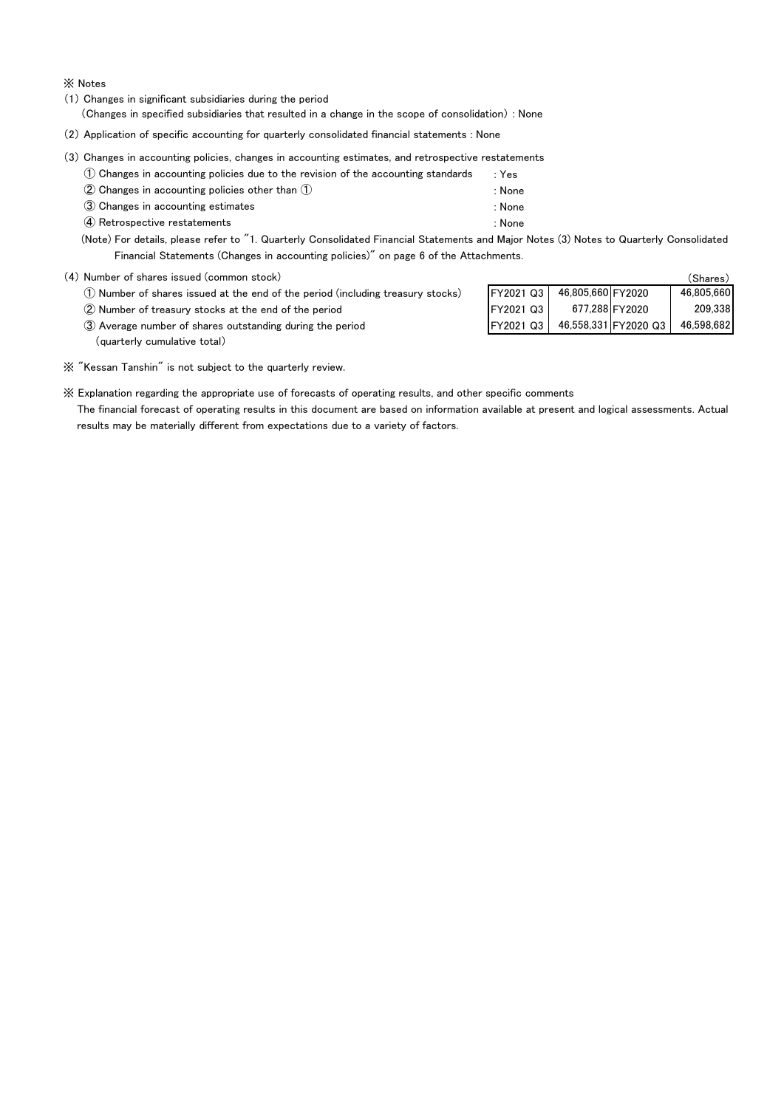※ Notes

(1) Changes in significant subsidiaries during the period

(Changes in specified subsidiaries that resulted in a change in the scope of consolidation) : None

(2) Application of specific accounting for quarterly consolidated financial statements : None

(3) Changes in accounting policies, changes in accounting estimates, and retrospective restatements

- ① Changes in accounting policies due to the revision of the accounting standards : Yes
- ② Changes in accounting policies other than ① : None
- ③ Changes in accounting estimates : None
- ④ Retrospective restatements : None

- (Note) For details, please refer to "1. Quarterly Consolidated Financial Statements and Major Notes (3) Notes to Quarterly Consolidated Financial Statements (Changes in accounting policies)" on page 6 of the Attachments.
- (4) Number of shares issued (common stock)
	- $\overline{10}$  Number of shares issued at the end of the period (including treasury stocks)
	- 2 Number of treasury stocks at the end of the period
	- ③ Average number of shares outstanding during the period FY2021 Q3 FY2020 Q3 (quarterly cumulative total)

|                  |                   |                      | (Shares)   |
|------------------|-------------------|----------------------|------------|
| FY2021 Q3        | 46,805,660 FY2020 |                      | 46,805,660 |
| FY2021 Q3        |                   | 677,288 FY2020       | 209,338    |
| <b>FY2021 Q3</b> |                   | 46,558,331 FY2020 Q3 | 46,598,682 |

※ "Kessan Tanshin" is not subject to the quarterly review.

※ Explanation regarding the appropriate use of forecasts of operating results, and other specific comments

 The financial forecast of operating results in this document are based on information available at present and logical assessments. Actual results may be materially different from expectations due to a variety of factors.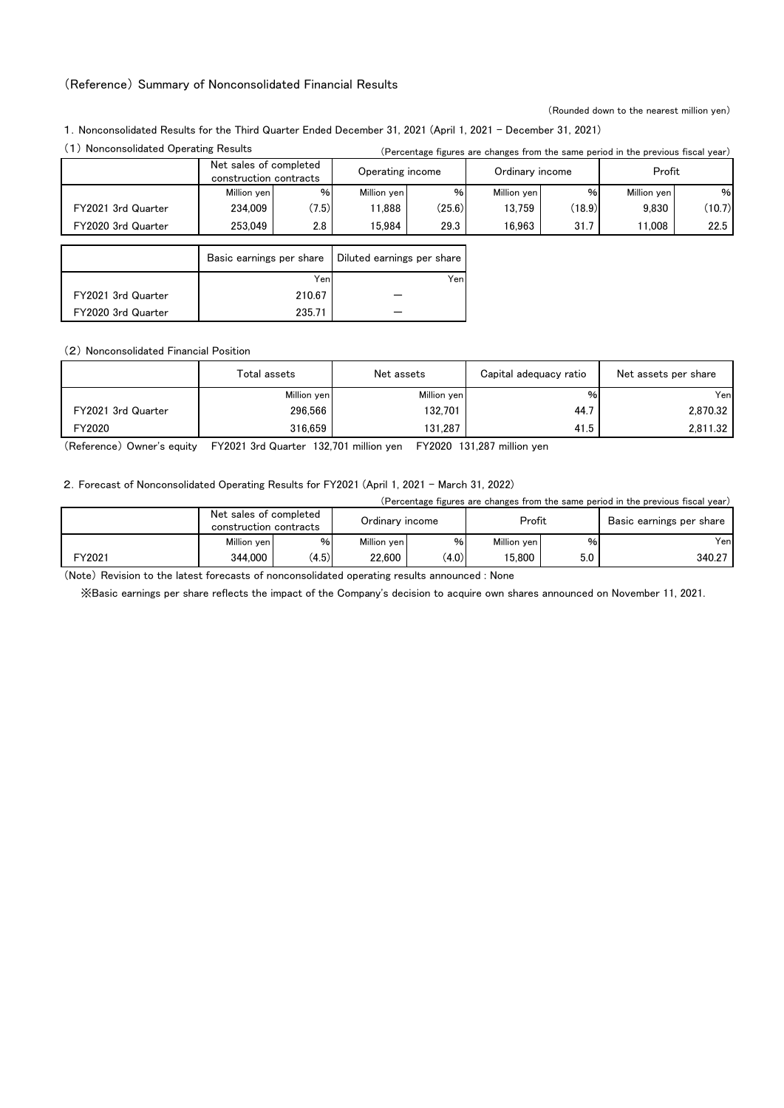### (Reference) Summary of Nonconsolidated Financial Results

(Rounded down to the nearest million yen)

1.Nonconsolidated Results for the Third Quarter Ended December 31, 2021 (April 1, 2021 - December 31, 2021)

|                    |                                                  |       |                            |        |                 |        | (Fercentage ligares are changes from the same period in the previous fiscal year) |        |
|--------------------|--------------------------------------------------|-------|----------------------------|--------|-----------------|--------|-----------------------------------------------------------------------------------|--------|
|                    | Net sales of completed<br>construction contracts |       | Operating income           |        | Ordinary income |        | Profit                                                                            |        |
|                    | Million yen                                      | $\%$  | Million yen                | %      | Million yen     | %      | Million yen                                                                       | %      |
| FY2021 3rd Quarter | 234.009                                          | (7.5) | 11.888                     | (25.6) | 13.759          | (18.9) | 9.830                                                                             | (10.7) |
| FY2020 3rd Quarter | 253.049                                          | 2.8   | 15.984                     | 29.3   | 16.963          | 31.7   | 11.008                                                                            | 22.5   |
|                    |                                                  |       |                            |        |                 |        |                                                                                   |        |
|                    | Basic earnings per share                         |       | Diluted earnings per share |        |                 |        |                                                                                   |        |
|                    |                                                  | Yen   |                            | Yenl   |                 |        |                                                                                   |        |
| FY2021 3rd Quarter | 210.67                                           |       |                            |        |                 |        |                                                                                   |        |
| FY2020 3rd Quarter | 235.71                                           |       |                            |        |                 |        |                                                                                   |        |

(2) Nonconsolidated Financial Position

|                    | Total assets | Net assets  | Capital adequacy ratio | Net assets per share |  |
|--------------------|--------------|-------------|------------------------|----------------------|--|
|                    | Million yen  | Million yen | $\%$                   | Yenl                 |  |
| FY2021 3rd Quarter | 296,566      | 132.701     | 44.7                   | 2,870.32             |  |
| FY2020             | 316.659      | 131.287     | 41.5                   | 2.811.32             |  |

(Reference) Owner's equity FY2021 3rd Quarter 132,701 million yen FY2020 131,287 million yen

2. Forecast of Nonconsolidated Operating Results for FY2021 (April 1, 2021 - March 31, 2022)

|        |                                                  |       |                 |       |             | (Percentage figures are changes from the same period in the previous fiscal year) |                          |  |
|--------|--------------------------------------------------|-------|-----------------|-------|-------------|-----------------------------------------------------------------------------------|--------------------------|--|
|        | Net sales of completed<br>construction contracts |       | Ordinary income |       | Profit      |                                                                                   | Basic earnings per share |  |
|        | Million yen                                      | $\%$  | Million ven     | %     | Million ven | %                                                                                 | Yenl                     |  |
| FY2021 | 344.000                                          | (4.5) | 22.600          | (4.0) | 15.800      | 5.0                                                                               | 340.27                   |  |

(Note) Revision to the latest forecasts of nonconsolidated operating results announced : None

※Basic earnings per share reflects the impact of the Company's decision to acquire own shares announced on November 11, 2021.

<sup>(1)</sup> Nonconsolidated Operating Results (Percentage figures are changes from the same period in the previous fiscal year)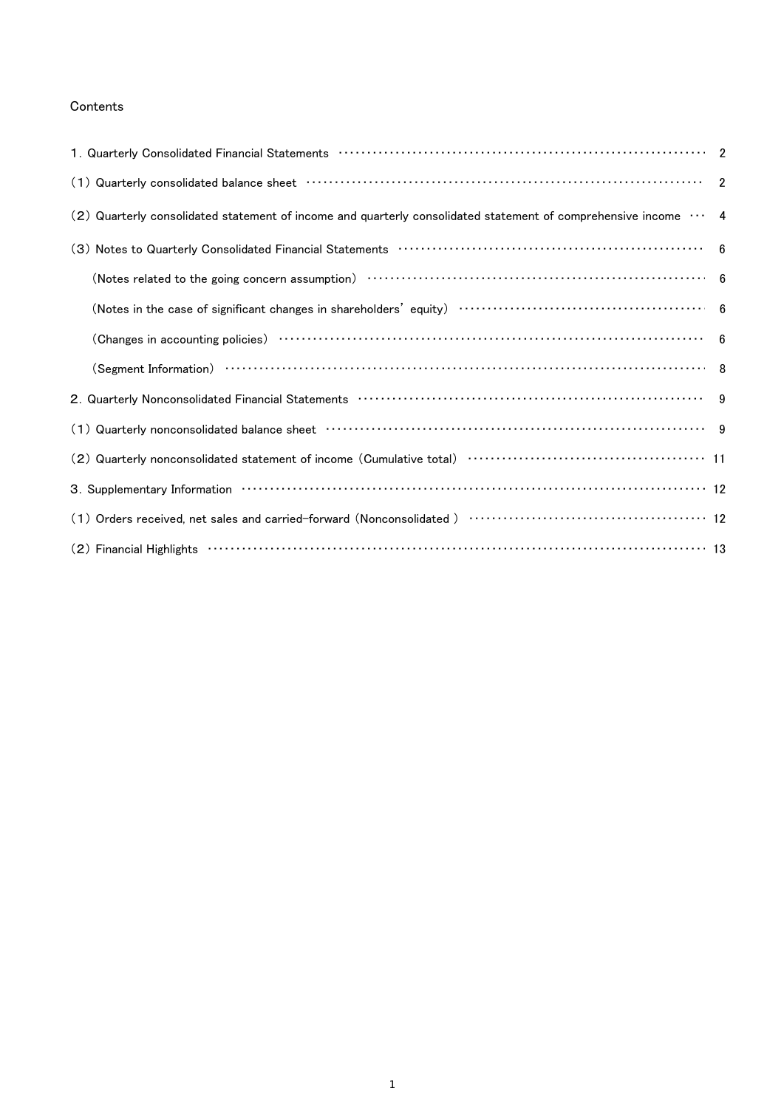### Contents

| (2) Quarterly consolidated statement of income and quarterly consolidated statement of comprehensive income  4                                                                                                 |  |
|----------------------------------------------------------------------------------------------------------------------------------------------------------------------------------------------------------------|--|
|                                                                                                                                                                                                                |  |
| (Notes related to the going concern assumption) ……………………………………………………………………………………… 6                                                                                                                            |  |
|                                                                                                                                                                                                                |  |
|                                                                                                                                                                                                                |  |
|                                                                                                                                                                                                                |  |
|                                                                                                                                                                                                                |  |
|                                                                                                                                                                                                                |  |
|                                                                                                                                                                                                                |  |
|                                                                                                                                                                                                                |  |
|                                                                                                                                                                                                                |  |
| $(2)$ Financial Highlights $\cdots$ $\cdots$ $\cdots$ $\cdots$ $\cdots$ $\cdots$ $\cdots$ $\cdots$ $\cdots$ $\cdots$ $\cdots$ $\cdots$ $\cdots$ $\cdots$ $\cdots$ $\cdots$ $\cdots$ $\cdots$ $\cdots$ $\cdots$ |  |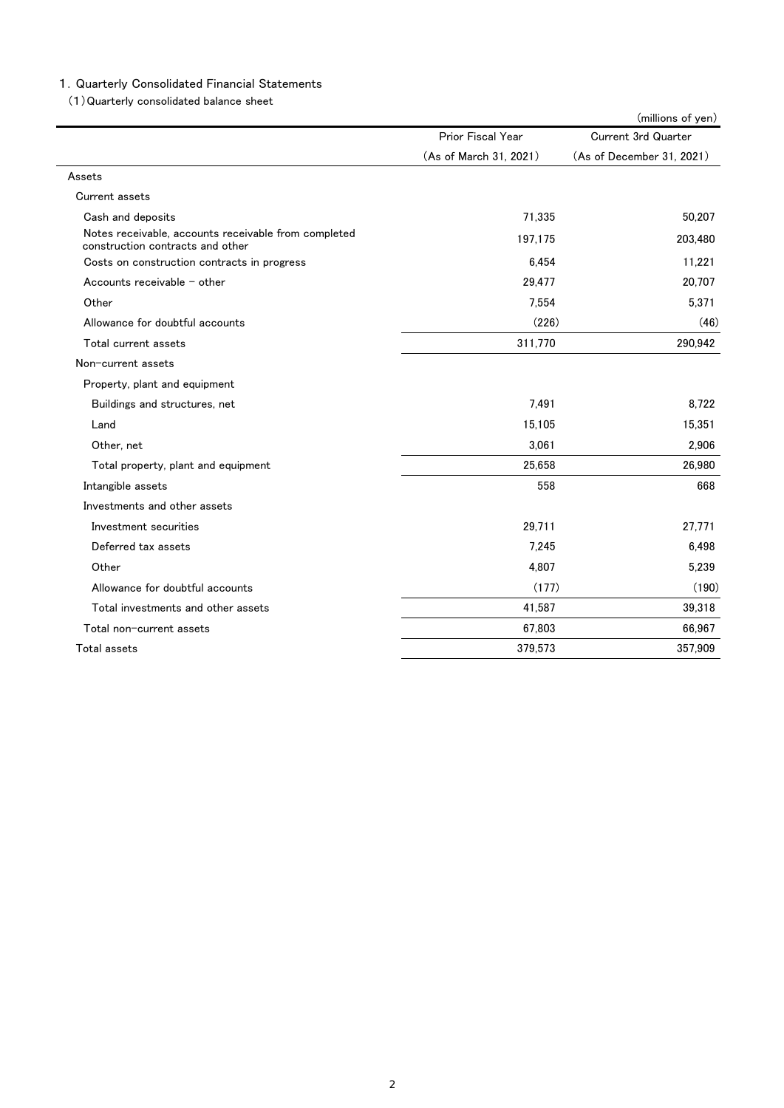### 1.Quarterly Consolidated Financial Statements

(1)Quarterly consolidated balance sheet

|                                                                                          |                        | (millions of yen)          |
|------------------------------------------------------------------------------------------|------------------------|----------------------------|
|                                                                                          | Prior Fiscal Year      | <b>Current 3rd Quarter</b> |
|                                                                                          | (As of March 31, 2021) | (As of December 31, 2021)  |
| Assets                                                                                   |                        |                            |
| Current assets                                                                           |                        |                            |
| Cash and deposits                                                                        | 71,335                 | 50,207                     |
| Notes receivable, accounts receivable from completed<br>construction contracts and other | 197,175                | 203,480                    |
| Costs on construction contracts in progress                                              | 6,454                  | 11,221                     |
| Accounts receivable $-$ other                                                            | 29.477                 | 20.707                     |
| Other                                                                                    | 7.554                  | 5,371                      |
| Allowance for doubtful accounts                                                          | (226)                  | (46)                       |
| Total current assets                                                                     | 311,770                | 290,942                    |
| Non-current assets                                                                       |                        |                            |
| Property, plant and equipment                                                            |                        |                            |
| Buildings and structures, net                                                            | 7,491                  | 8.722                      |
| Land                                                                                     | 15,105                 | 15,351                     |
| Other, net                                                                               | 3.061                  | 2,906                      |
| Total property, plant and equipment                                                      | 25,658                 | 26,980                     |
| Intangible assets                                                                        | 558                    | 668                        |
| Investments and other assets                                                             |                        |                            |
| Investment securities                                                                    | 29,711                 | 27,771                     |
| Deferred tax assets                                                                      | 7.245                  | 6.498                      |
| Other                                                                                    | 4,807                  | 5,239                      |
| Allowance for doubtful accounts                                                          | (177)                  | (190)                      |
| Total investments and other assets                                                       | 41,587                 | 39,318                     |
| Total non-current assets                                                                 | 67,803                 | 66,967                     |
| Total assets                                                                             | 379,573                | 357,909                    |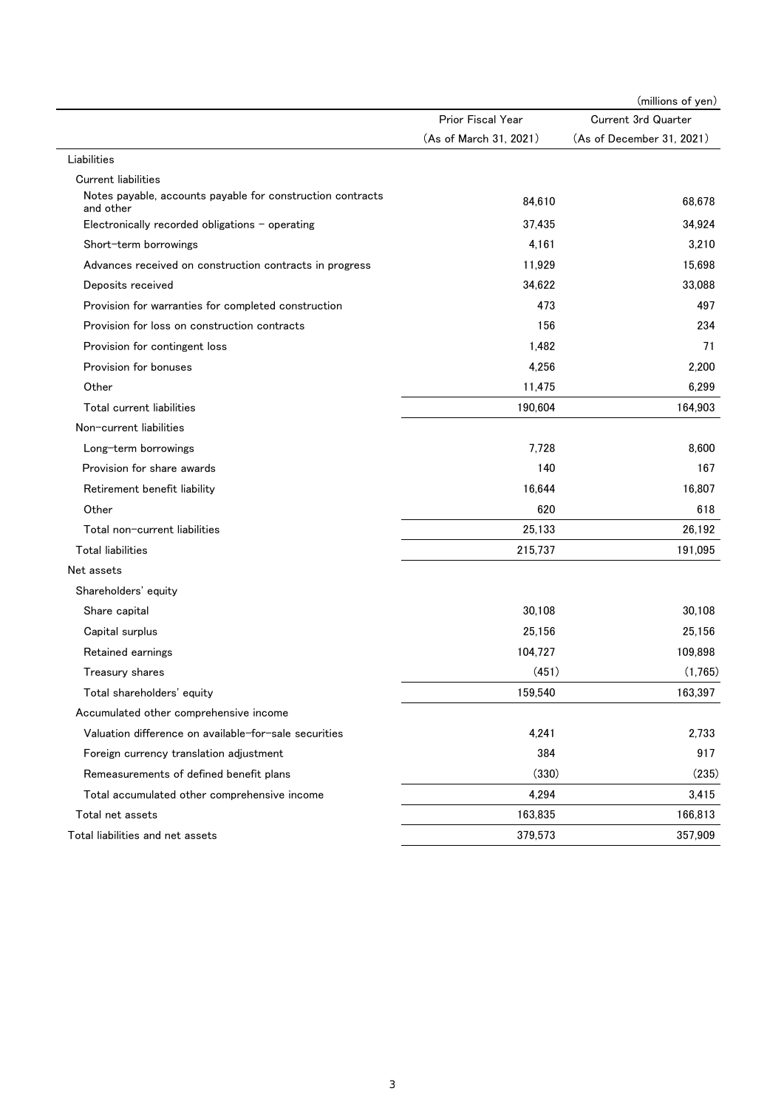|                                                                         |                        | (millions of yen)         |
|-------------------------------------------------------------------------|------------------------|---------------------------|
|                                                                         | Prior Fiscal Year      | Current 3rd Quarter       |
|                                                                         | (As of March 31, 2021) | (As of December 31, 2021) |
| Liabilities                                                             |                        |                           |
| <b>Current liabilities</b>                                              |                        |                           |
| Notes payable, accounts payable for construction contracts<br>and other | 84,610                 | 68,678                    |
| Electronically recorded obligations - operating                         | 37,435                 | 34,924                    |
| Short-term borrowings                                                   | 4,161                  | 3,210                     |
| Advances received on construction contracts in progress                 | 11,929                 | 15,698                    |
| Deposits received                                                       | 34,622                 | 33,088                    |
| Provision for warranties for completed construction                     | 473                    | 497                       |
| Provision for loss on construction contracts                            | 156                    | 234                       |
| Provision for contingent loss                                           | 1,482                  | 71                        |
| Provision for bonuses                                                   | 4,256                  | 2,200                     |
| Other                                                                   | 11,475                 | 6,299                     |
| Total current liabilities                                               | 190,604                | 164,903                   |
| Non-current liabilities                                                 |                        |                           |
| Long-term borrowings                                                    | 7,728                  | 8,600                     |
| Provision for share awards                                              | 140                    | 167                       |
| Retirement benefit liability                                            | 16,644                 | 16,807                    |
| Other                                                                   | 620                    | 618                       |
| Total non-current liabilities                                           | 25,133                 | 26,192                    |
| <b>Total liabilities</b>                                                | 215,737                | 191,095                   |
| Net assets                                                              |                        |                           |
| Shareholders' equity                                                    |                        |                           |
| Share capital                                                           | 30,108                 | 30,108                    |
| Capital surplus                                                         | 25,156                 | 25,156                    |
| Retained earnings                                                       | 104,727                | 109,898                   |
| Treasury shares                                                         | (451)                  | (1,765)                   |
| Total shareholders' equity                                              | 159,540                | 163,397                   |
| Accumulated other comprehensive income                                  |                        |                           |
| Valuation difference on available-for-sale securities                   | 4,241                  | 2,733                     |
| Foreign currency translation adjustment                                 | 384                    | 917                       |
| Remeasurements of defined benefit plans                                 | (330)                  | (235)                     |
| Total accumulated other comprehensive income                            | 4,294                  | 3,415                     |
| Total net assets                                                        | 163,835                | 166,813                   |
| Total liabilities and net assets                                        | 379,573                | 357,909                   |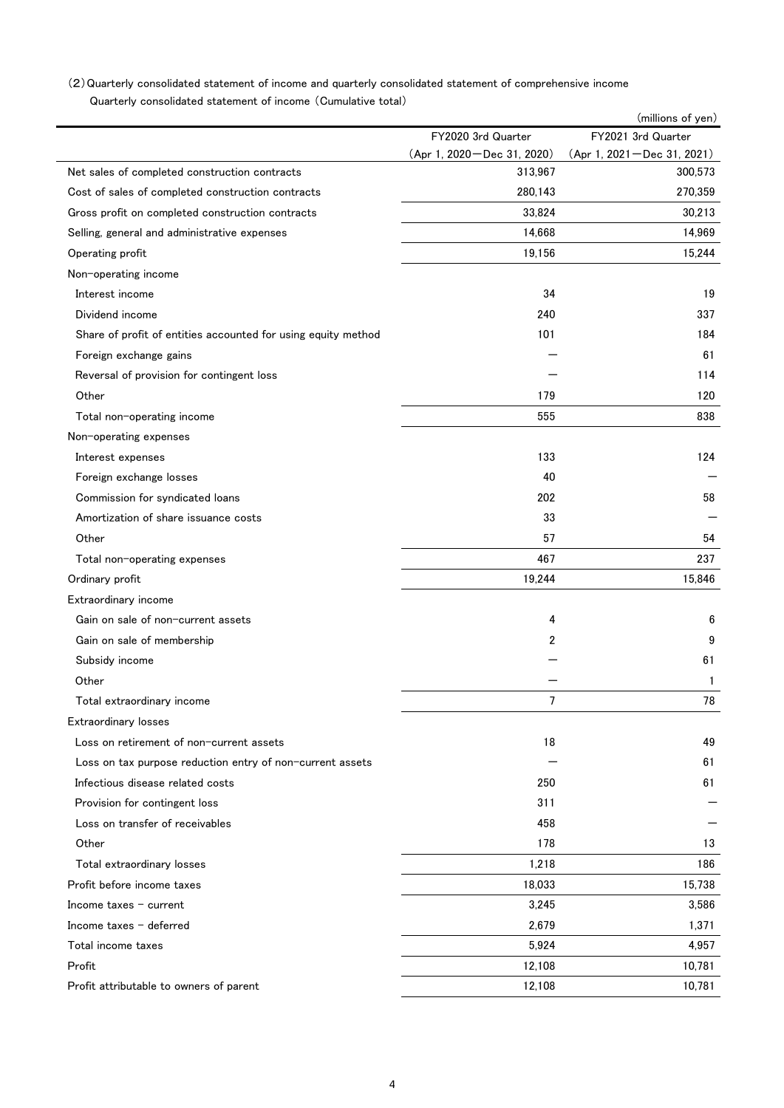## Quarterly consolidated statement of income (Cumulative total) (2)Quarterly consolidated statement of income and quarterly consolidated statement of comprehensive income

|                                                               |                              | (millions of yen)            |
|---------------------------------------------------------------|------------------------------|------------------------------|
|                                                               | FY2020 3rd Quarter           | FY2021 3rd Quarter           |
|                                                               | (Apr 1, 2020 - Dec 31, 2020) | (Apr 1, 2021 - Dec 31, 2021) |
| Net sales of completed construction contracts                 | 313,967                      | 300,573                      |
| Cost of sales of completed construction contracts             | 280,143                      | 270,359                      |
| Gross profit on completed construction contracts              | 33,824                       | 30,213                       |
| Selling, general and administrative expenses                  | 14,668                       | 14,969                       |
| Operating profit                                              | 19,156                       | 15,244                       |
| Non-operating income                                          |                              |                              |
| Interest income                                               | 34                           | 19                           |
| Dividend income                                               | 240                          | 337                          |
| Share of profit of entities accounted for using equity method | 101                          | 184                          |
| Foreign exchange gains                                        |                              | 61                           |
| Reversal of provision for contingent loss                     |                              | 114                          |
| Other                                                         | 179                          | 120                          |
| Total non-operating income                                    | 555                          | 838                          |
| Non-operating expenses                                        |                              |                              |
| Interest expenses                                             | 133                          | 124                          |
| Foreign exchange losses                                       | 40                           |                              |
| Commission for syndicated loans                               | 202                          | 58                           |
| Amortization of share issuance costs                          | 33                           |                              |
| Other                                                         | 57                           | 54                           |
| Total non-operating expenses                                  | 467                          | 237                          |
| Ordinary profit                                               | 19,244                       | 15,846                       |
| Extraordinary income                                          |                              |                              |
| Gain on sale of non-current assets                            | 4                            | 6                            |
| Gain on sale of membership                                    | 2                            | 9                            |
| Subsidy income                                                |                              | 61                           |
| Other                                                         |                              | 1                            |
| Total extraordinary income                                    | 7                            | 78                           |
| <b>Extraordinary losses</b>                                   |                              |                              |
| Loss on retirement of non-current assets                      | 18                           | 49                           |
| Loss on tax purpose reduction entry of non-current assets     |                              | 61                           |
| Infectious disease related costs                              | 250                          | 61                           |
| Provision for contingent loss                                 | 311                          |                              |
| Loss on transfer of receivables                               | 458                          |                              |
| Other                                                         | 178                          | 13                           |
| Total extraordinary losses                                    | 1,218                        | 186                          |
| Profit before income taxes                                    | 18,033                       | 15,738                       |
| Income taxes $-$ current                                      | 3,245                        | 3,586                        |
| Income taxes - deferred                                       | 2,679                        | 1,371                        |
| Total income taxes                                            | 5,924                        | 4,957                        |
| Profit                                                        | 12,108                       | 10,781                       |
|                                                               |                              | 10,781                       |
| Profit attributable to owners of parent                       | 12,108                       |                              |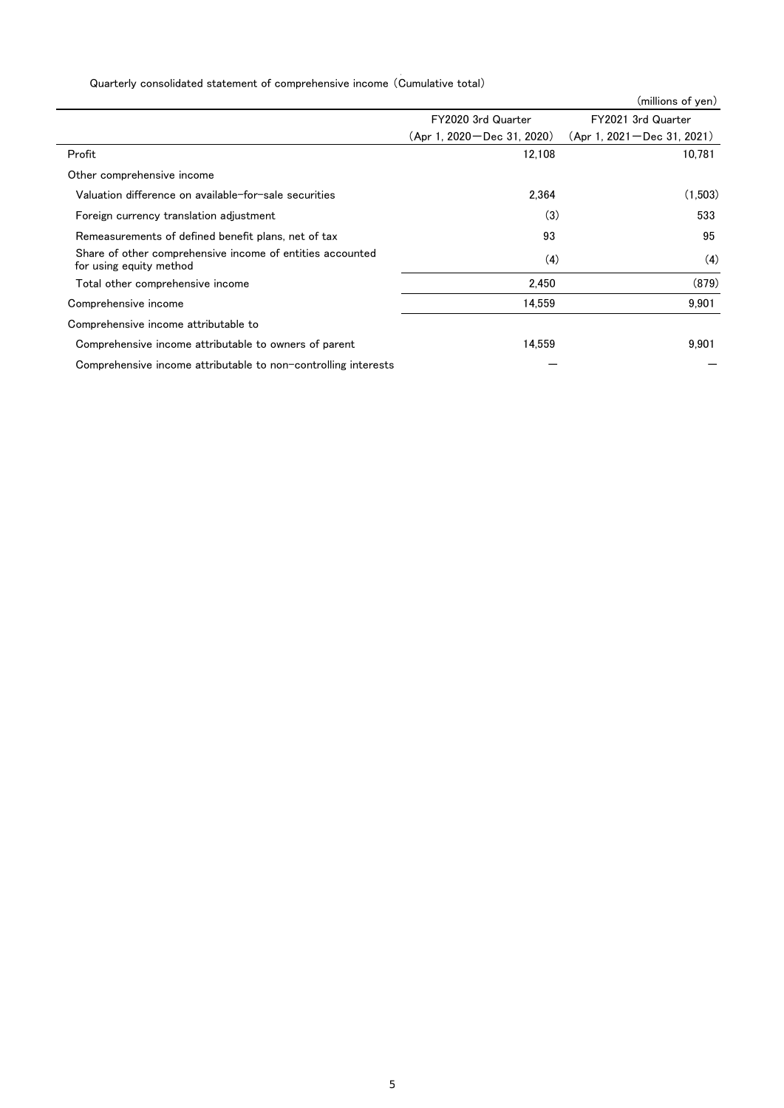# Quarterly consolidated statement of comprehensive income (Cumulative total)

|                                                                                      |                                | (millions of yen)              |
|--------------------------------------------------------------------------------------|--------------------------------|--------------------------------|
|                                                                                      | FY2020 3rd Quarter             | FY2021 3rd Quarter             |
|                                                                                      | $(Apr 1. 2020 - Dec 31. 2020)$ | $(Apr 1. 2021 - Dec 31. 2021)$ |
| Profit                                                                               | 12,108                         | 10,781                         |
| Other comprehensive income                                                           |                                |                                |
| Valuation difference on available-for-sale securities                                | 2.364                          | (1,503)                        |
| Foreign currency translation adjustment                                              | (3)                            | 533                            |
| Remeasurements of defined benefit plans, net of tax                                  | 93                             | 95                             |
| Share of other comprehensive income of entities accounted<br>for using equity method | (4)                            | (4)                            |
| Total other comprehensive income                                                     | 2.450                          | (879)                          |
| Comprehensive income                                                                 | 14,559                         | 9,901                          |
| Comprehensive income attributable to                                                 |                                |                                |
| Comprehensive income attributable to owners of parent                                | 14.559                         | 9,901                          |
| Comprehensive income attributable to non-controlling interests                       |                                |                                |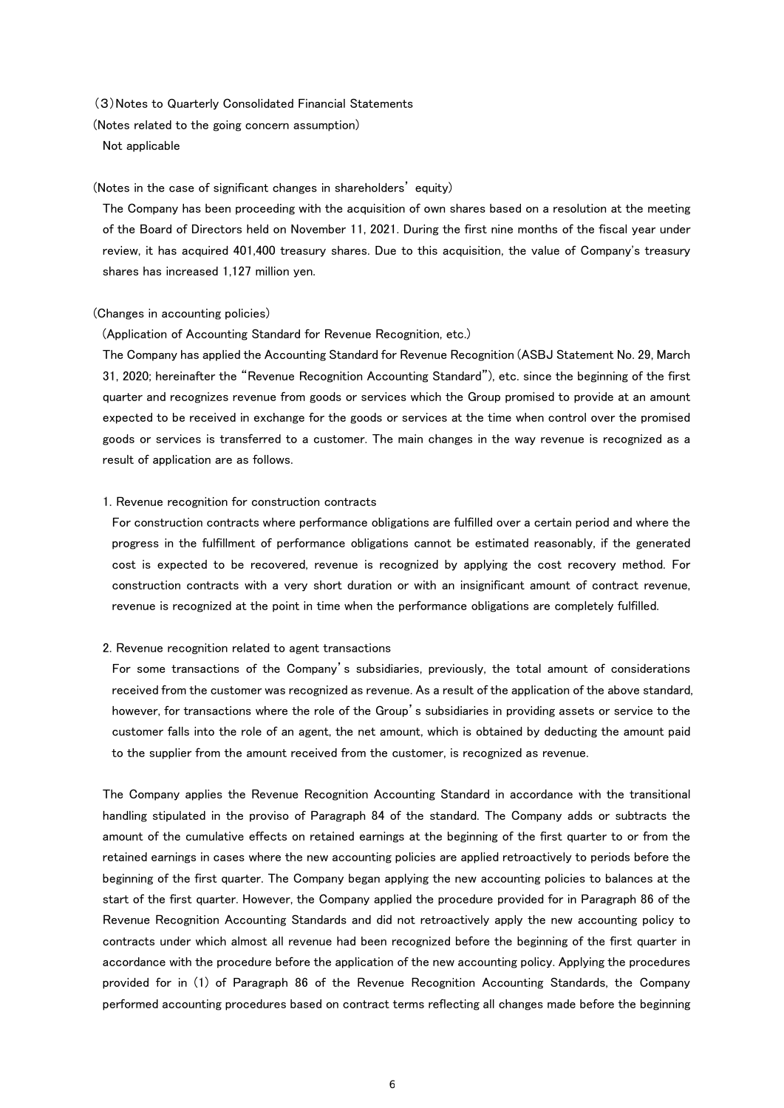(3)Notes to Quarterly Consolidated Financial Statements

(Notes related to the going concern assumption)

Not applicable

#### (Notes in the case of significant changes in shareholders' equity)

The Company has been proceeding with the acquisition of own shares based on a resolution at the meeting of the Board of Directors held on November 11, 2021. During the first nine months of the fiscal year under review, it has acquired 401,400 treasury shares. Due to this acquisition, the value of Company's treasury shares has increased 1,127 million yen.

#### (Changes in accounting policies)

#### (Application of Accounting Standard for Revenue Recognition, etc.)

The Company has applied the Accounting Standard for Revenue Recognition (ASBJ Statement No. 29, March 31, 2020; hereinafter the "Revenue Recognition Accounting Standard"), etc. since the beginning of the first quarter and recognizes revenue from goods or services which the Group promised to provide at an amount expected to be received in exchange for the goods or services at the time when control over the promised goods or services is transferred to a customer. The main changes in the way revenue is recognized as a result of application are as follows.

#### 1. Revenue recognition for construction contracts

For construction contracts where performance obligations are fulfilled over a certain period and where the progress in the fulfillment of performance obligations cannot be estimated reasonably, if the generated cost is expected to be recovered, revenue is recognized by applying the cost recovery method. For construction contracts with a very short duration or with an insignificant amount of contract revenue, revenue is recognized at the point in time when the performance obligations are completely fulfilled.

#### 2. Revenue recognition related to agent transactions

For some transactions of the Company's subsidiaries, previously, the total amount of considerations received from the customer was recognized as revenue. As a result of the application of the above standard, however, for transactions where the role of the Group's subsidiaries in providing assets or service to the customer falls into the role of an agent, the net amount, which is obtained by deducting the amount paid to the supplier from the amount received from the customer, is recognized as revenue.

The Company applies the Revenue Recognition Accounting Standard in accordance with the transitional handling stipulated in the proviso of Paragraph 84 of the standard. The Company adds or subtracts the amount of the cumulative effects on retained earnings at the beginning of the first quarter to or from the retained earnings in cases where the new accounting policies are applied retroactively to periods before the beginning of the first quarter. The Company began applying the new accounting policies to balances at the start of the first quarter. However, the Company applied the procedure provided for in Paragraph 86 of the Revenue Recognition Accounting Standards and did not retroactively apply the new accounting policy to contracts under which almost all revenue had been recognized before the beginning of the first quarter in accordance with the procedure before the application of the new accounting policy. Applying the procedures provided for in (1) of Paragraph 86 of the Revenue Recognition Accounting Standards, the Company performed accounting procedures based on contract terms reflecting all changes made before the beginning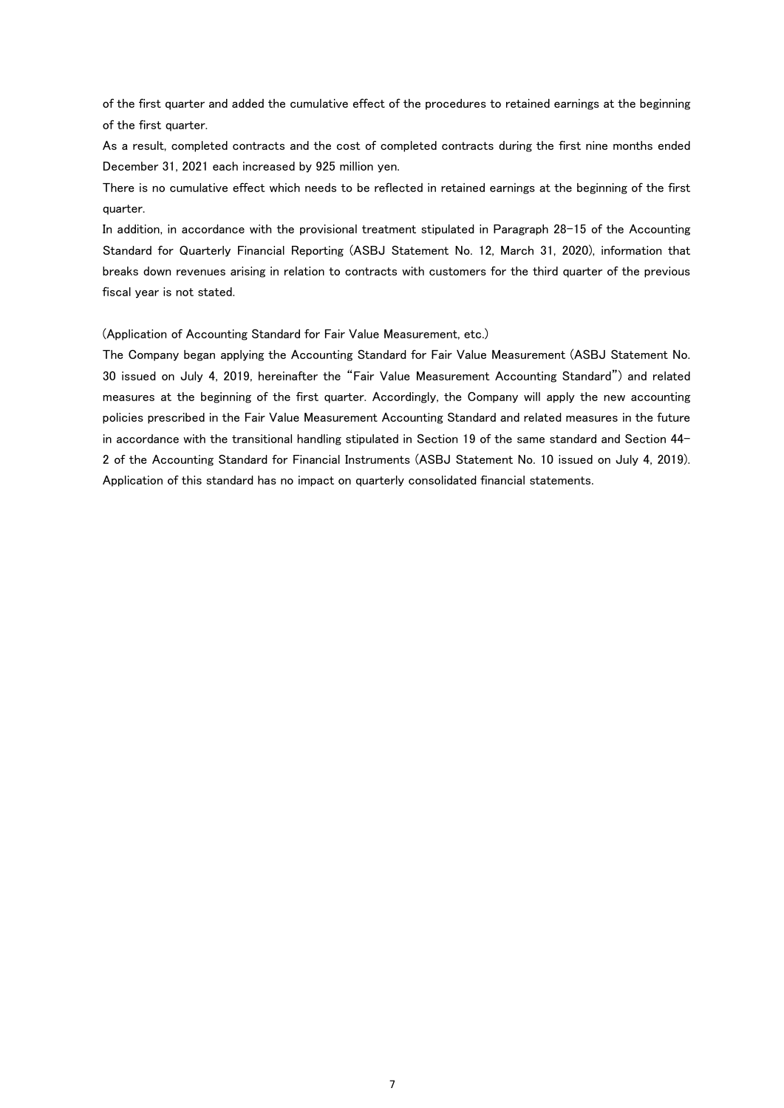of the first quarter and added the cumulative effect of the procedures to retained earnings at the beginning of the first quarter.

As a result, completed contracts and the cost of completed contracts during the first nine months ended December 31, 2021 each increased by 925 million yen.

There is no cumulative effect which needs to be reflected in retained earnings at the beginning of the first quarter.

In addition, in accordance with the provisional treatment stipulated in Paragraph 28-15 of the Accounting Standard for Quarterly Financial Reporting (ASBJ Statement No. 12, March 31, 2020), information that breaks down revenues arising in relation to contracts with customers for the third quarter of the previous fiscal year is not stated.

(Application of Accounting Standard for Fair Value Measurement, etc.)

The Company began applying the Accounting Standard for Fair Value Measurement (ASBJ Statement No. 30 issued on July 4, 2019, hereinafter the "Fair Value Measurement Accounting Standard") and related measures at the beginning of the first quarter. Accordingly, the Company will apply the new accounting policies prescribed in the Fair Value Measurement Accounting Standard and related measures in the future in accordance with the transitional handling stipulated in Section 19 of the same standard and Section 44- 2 of the Accounting Standard for Financial Instruments (ASBJ Statement No. 10 issued on July 4, 2019). Application of this standard has no impact on quarterly consolidated financial statements.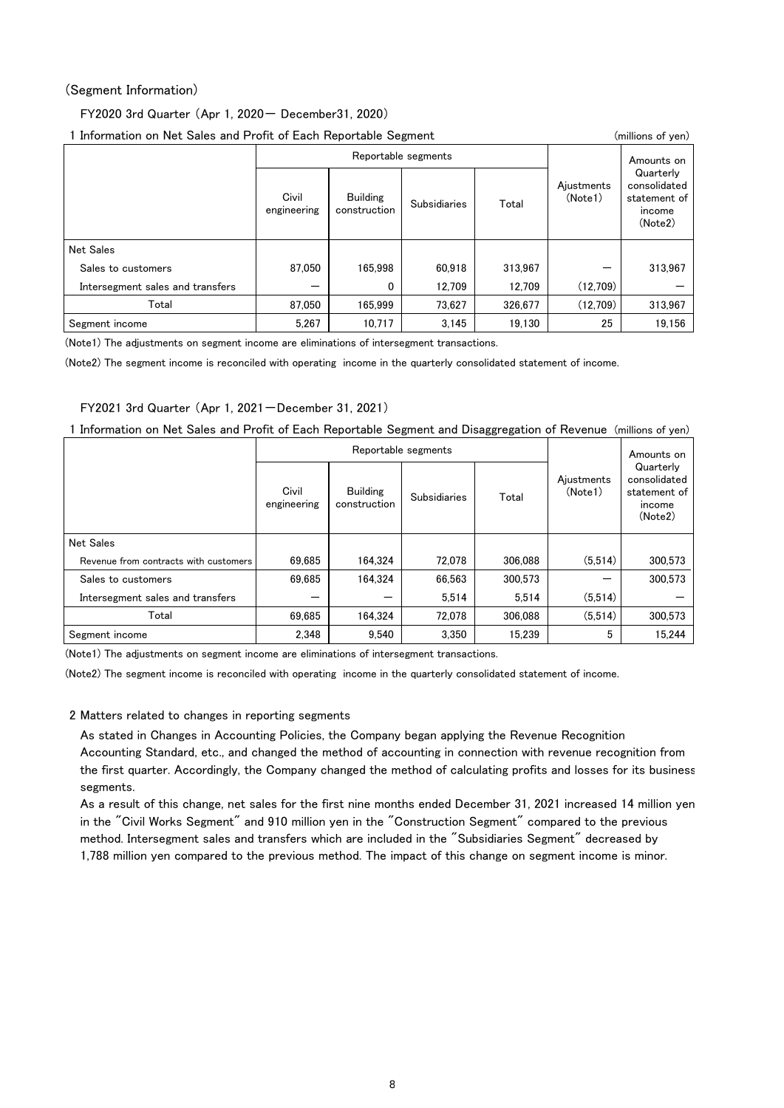### (Segment Information)

FY2020 3rd Quarter (Apr 1, 2020- December31, 2020)

1 Information on Net Sales and Profit of Each Reportable Segment (millions of yen)

| <b>ALLOTTING OF LIVE CALCO MITH LIVITE OF EACH LIVEOL CAPIC COMMIC COMPTION</b><br>$\frac{1}{2}$ |                                                         |                     |                     |            |                       |                                                                |  |  |  |
|--------------------------------------------------------------------------------------------------|---------------------------------------------------------|---------------------|---------------------|------------|-----------------------|----------------------------------------------------------------|--|--|--|
|                                                                                                  |                                                         | Reportable segments |                     | Amounts on |                       |                                                                |  |  |  |
|                                                                                                  | Civil<br><b>Building</b><br>construction<br>engineering |                     | <b>Subsidiaries</b> | Total      | Ajustments<br>(Note1) | Quarterly<br>consolidated<br>statement of<br>income<br>(Note2) |  |  |  |
| <b>Net Sales</b>                                                                                 |                                                         |                     |                     |            |                       |                                                                |  |  |  |
| Sales to customers                                                                               | 87.050                                                  | 165.998             | 60.918              | 313.967    |                       | 313,967                                                        |  |  |  |
| Intersegment sales and transfers                                                                 |                                                         | 0                   | 12.709              | 12.709     | (12,709)              |                                                                |  |  |  |
| Total                                                                                            | 87.050                                                  | 165.999             | 73.627              | 326.677    | (12,709)              | 313.967                                                        |  |  |  |
| Segment income                                                                                   | 5.267                                                   | 10.717              | 3.145               | 19,130     | 25                    | 19,156                                                         |  |  |  |

(Note1) The adjustments on segment income are eliminations of intersegment transactions.

(Note2) The segment income is reconciled with operating income in the quarterly consolidated statement of income.

### FY2021 3rd Quarter (Apr 1, 2021-December 31, 2021)

| 1 Information on Net Sales and Profit of Each Reportable Segment and Disaggregation of Revenue (millions of yen) |  |  |  |  |
|------------------------------------------------------------------------------------------------------------------|--|--|--|--|
|------------------------------------------------------------------------------------------------------------------|--|--|--|--|

|                                       |                      | Reportable segments                                    |        | Amounts on |                       |                                                                |  |
|---------------------------------------|----------------------|--------------------------------------------------------|--------|------------|-----------------------|----------------------------------------------------------------|--|
|                                       | Civil<br>engineering | <b>Building</b><br><b>Subsidiaries</b><br>construction |        | Total      | Ajustments<br>(Note1) | Quarterly<br>consolidated<br>statement of<br>income<br>(Note2) |  |
| <b>Net Sales</b>                      |                      |                                                        |        |            |                       |                                                                |  |
| Revenue from contracts with customers | 69.685               | 164.324                                                | 72.078 | 306,088    | (5.514)               | 300.573                                                        |  |
| Sales to customers                    | 69.685               | 164.324                                                | 66.563 | 300.573    |                       | 300.573                                                        |  |
| Intersegment sales and transfers      |                      |                                                        | 5.514  | 5.514      | (5,514)               |                                                                |  |
| Total                                 | 69.685               | 164.324                                                | 72.078 | 306.088    | (5.514)               | 300.573                                                        |  |
| Segment income                        | 2.348                | 9.540                                                  | 3.350  | 15.239     | 5                     | 15.244                                                         |  |

(Note1) The adjustments on segment income are eliminations of intersegment transactions.

(Note2) The segment income is reconciled with operating income in the quarterly consolidated statement of income.

### 2 Matters related to changes in reporting segments

As stated in Changes in Accounting Policies, the Company began applying the Revenue Recognition Accounting Standard, etc., and changed the method of accounting in connection with revenue recognition from the first quarter. Accordingly, the Company changed the method of calculating profits and losses for its business segments.

As a result of this change, net sales for the first nine months ended December 31, 2021 increased 14 million yen in the "Civil Works Segment" and 910 million yen in the "Construction Segment" compared to the previous method. Intersegment sales and transfers which are included in the "Subsidiaries Segment" decreased by 1,788 million yen compared to the previous method. The impact of this change on segment income is minor.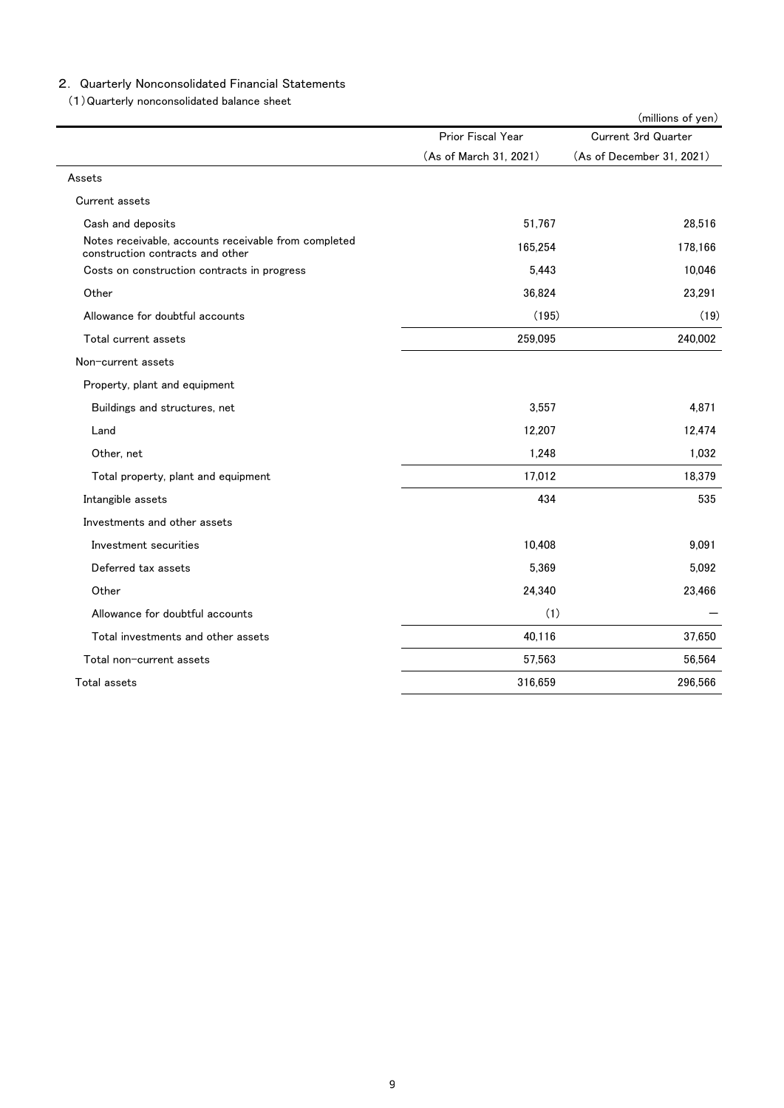### 2. Quarterly Nonconsolidated Financial Statements

(1)Quarterly nonconsolidated balance sheet

|                                                                                          |                        | (millions of yen)          |
|------------------------------------------------------------------------------------------|------------------------|----------------------------|
|                                                                                          | Prior Fiscal Year      | <b>Current 3rd Quarter</b> |
|                                                                                          | (As of March 31, 2021) | (As of December 31, 2021)  |
| Assets                                                                                   |                        |                            |
| Current assets                                                                           |                        |                            |
| Cash and deposits                                                                        | 51,767                 | 28.516                     |
| Notes receivable, accounts receivable from completed<br>construction contracts and other | 165.254                | 178,166                    |
| Costs on construction contracts in progress                                              | 5,443                  | 10,046                     |
| Other                                                                                    | 36,824                 | 23,291                     |
| Allowance for doubtful accounts                                                          | (195)                  | (19)                       |
| Total current assets                                                                     | 259,095                | 240,002                    |
| Non-current assets                                                                       |                        |                            |
| Property, plant and equipment                                                            |                        |                            |
| Buildings and structures, net                                                            | 3,557                  | 4,871                      |
| Land                                                                                     | 12,207                 | 12,474                     |
| Other, net                                                                               | 1,248                  | 1.032                      |
| Total property, plant and equipment                                                      | 17,012                 | 18,379                     |
| Intangible assets                                                                        | 434                    | 535                        |
| Investments and other assets                                                             |                        |                            |
| Investment securities                                                                    | 10,408                 | 9,091                      |
| Deferred tax assets                                                                      | 5,369                  | 5,092                      |
| Other                                                                                    | 24,340                 | 23,466                     |
| Allowance for doubtful accounts                                                          | (1)                    |                            |
| Total investments and other assets                                                       | 40,116                 | 37,650                     |
| Total non-current assets                                                                 | 57,563                 | 56,564                     |
| Total assets                                                                             | 316,659                | 296,566                    |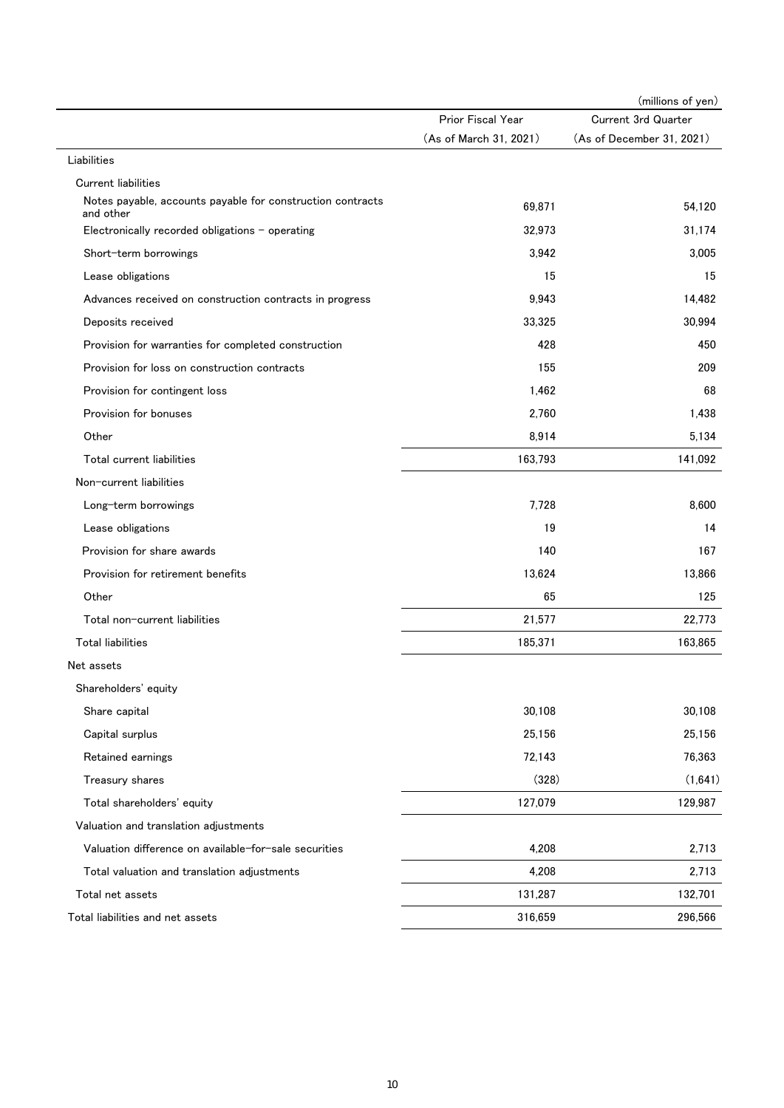|                                                                         |                        | (millions of yen)          |
|-------------------------------------------------------------------------|------------------------|----------------------------|
|                                                                         | Prior Fiscal Year      | <b>Current 3rd Quarter</b> |
|                                                                         | (As of March 31, 2021) | (As of December 31, 2021)  |
| Liabilities                                                             |                        |                            |
| <b>Current liabilities</b>                                              |                        |                            |
| Notes payable, accounts payable for construction contracts<br>and other | 69,871                 | 54,120                     |
| Electronically recorded obligations $-$ operating                       | 32,973                 | 31.174                     |
| Short-term borrowings                                                   | 3,942                  | 3,005                      |
| Lease obligations                                                       | 15                     | 15                         |
| Advances received on construction contracts in progress                 | 9,943                  | 14,482                     |
| Deposits received                                                       | 33,325                 | 30,994                     |
| Provision for warranties for completed construction                     | 428                    | 450                        |
| Provision for loss on construction contracts                            | 155                    | 209                        |
| Provision for contingent loss                                           | 1,462                  | 68                         |
| Provision for bonuses                                                   | 2,760                  | 1,438                      |
| Other                                                                   | 8,914                  | 5,134                      |
| Total current liabilities                                               | 163,793                | 141,092                    |
| Non-current liabilities                                                 |                        |                            |
| Long-term borrowings                                                    | 7,728                  | 8,600                      |
| Lease obligations                                                       | 19                     | 14                         |
| Provision for share awards                                              | 140                    | 167                        |
| Provision for retirement benefits                                       | 13,624                 | 13,866                     |
| Other                                                                   | 65                     | 125                        |
| Total non-current liabilities                                           | 21,577                 | 22,773                     |
| <b>Total liabilities</b>                                                | 185,371                | 163,865                    |
| Net assets                                                              |                        |                            |
| Shareholders' equity                                                    |                        |                            |
| Share capital                                                           | 30,108                 | 30,108                     |
| Capital surplus                                                         | 25,156                 | 25,156                     |
| Retained earnings                                                       | 72,143                 | 76,363                     |
| Treasury shares                                                         | (328)                  | (1,641)                    |
| Total shareholders' equity                                              | 127,079                | 129,987                    |
| Valuation and translation adjustments                                   |                        |                            |
| Valuation difference on available-for-sale securities                   | 4,208                  | 2,713                      |
| Total valuation and translation adjustments                             | 4,208                  | 2,713                      |
| Total net assets                                                        | 131,287                | 132,701                    |
| Total liabilities and net assets                                        | 316,659                | 296,566                    |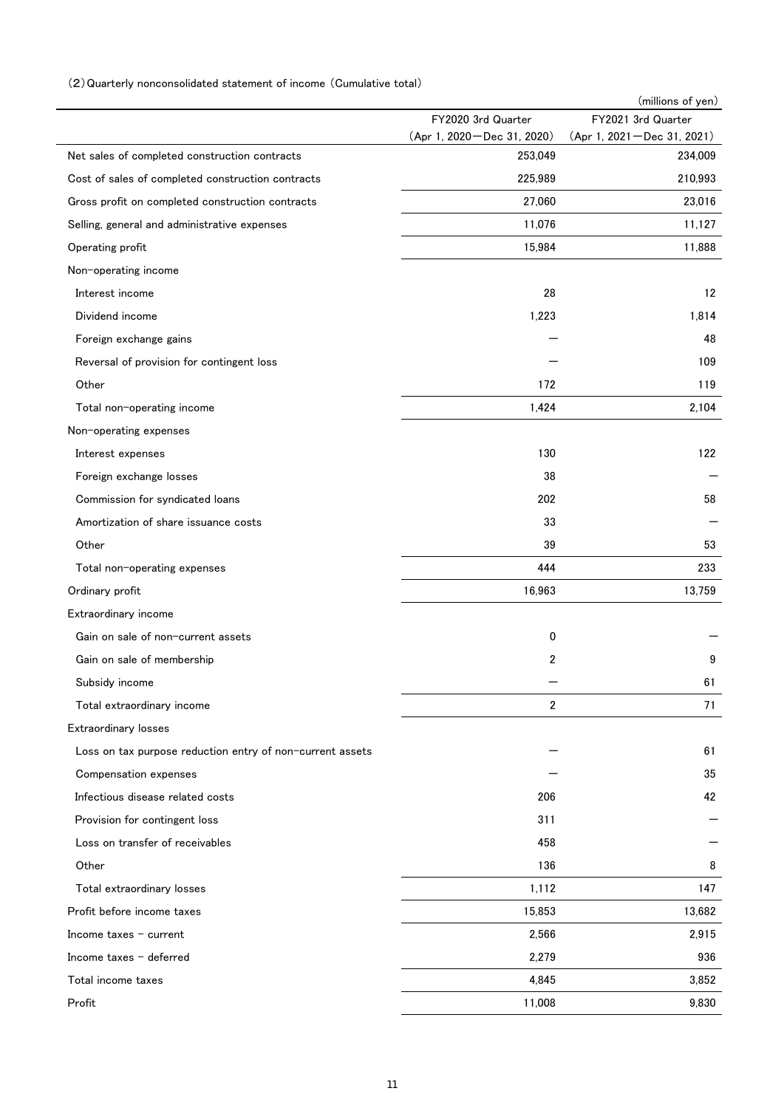### (2)Quarterly nonconsolidated statement of income (Cumulative total)

|                                                           |                                         | (millions of yen)                     |
|-----------------------------------------------------------|-----------------------------------------|---------------------------------------|
|                                                           | FY2020 3rd Quarter                      | FY2021 3rd Quarter                    |
| Net sales of completed construction contracts             | (Apr 1, 2020 - Dec 31, 2020)<br>253,049 | (Apr 1, 2021-Dec 31, 2021)<br>234,009 |
| Cost of sales of completed construction contracts         | 225,989                                 | 210,993                               |
| Gross profit on completed construction contracts          | 27,060                                  | 23,016                                |
|                                                           |                                         |                                       |
| Selling, general and administrative expenses              | 11,076<br>15,984                        | 11,127<br>11,888                      |
| Operating profit                                          |                                         |                                       |
| Non-operating income                                      |                                         |                                       |
| Interest income                                           | 28                                      | 12                                    |
| Dividend income                                           | 1,223                                   | 1,814                                 |
| Foreign exchange gains                                    |                                         | 48                                    |
| Reversal of provision for contingent loss                 |                                         | 109                                   |
| Other                                                     | 172                                     | 119                                   |
| Total non-operating income                                | 1,424                                   | 2,104                                 |
| Non-operating expenses                                    |                                         |                                       |
| Interest expenses                                         | 130                                     | 122                                   |
| Foreign exchange losses                                   | 38                                      |                                       |
| Commission for syndicated loans                           | 202                                     | 58                                    |
| Amortization of share issuance costs                      | 33                                      |                                       |
| Other                                                     | 39                                      | 53                                    |
| Total non-operating expenses                              | 444                                     | 233                                   |
| Ordinary profit                                           | 16,963                                  | 13,759                                |
| Extraordinary income                                      |                                         |                                       |
| Gain on sale of non-current assets                        | 0                                       |                                       |
| Gain on sale of membership                                | 2                                       | 9                                     |
| Subsidy income                                            |                                         | 61                                    |
| Total extraordinary income                                | 2                                       | 71                                    |
| Extraordinary losses                                      |                                         |                                       |
| Loss on tax purpose reduction entry of non-current assets |                                         | 61                                    |
| Compensation expenses                                     |                                         | 35                                    |
| Infectious disease related costs                          | 206                                     | 42                                    |
| Provision for contingent loss                             | 311                                     |                                       |
| Loss on transfer of receivables                           | 458                                     |                                       |
| Other                                                     | 136                                     | 8                                     |
| Total extraordinary losses                                | 1,112                                   | 147                                   |
| Profit before income taxes                                | 15,853                                  | 13,682                                |
| Income taxes $-$ current                                  | 2,566                                   | 2,915                                 |
| Income taxes $-$ deferred                                 | 2,279                                   | 936                                   |
| Total income taxes                                        | 4,845                                   | 3,852                                 |
|                                                           |                                         |                                       |
| Profit                                                    | 11,008                                  | 9,830                                 |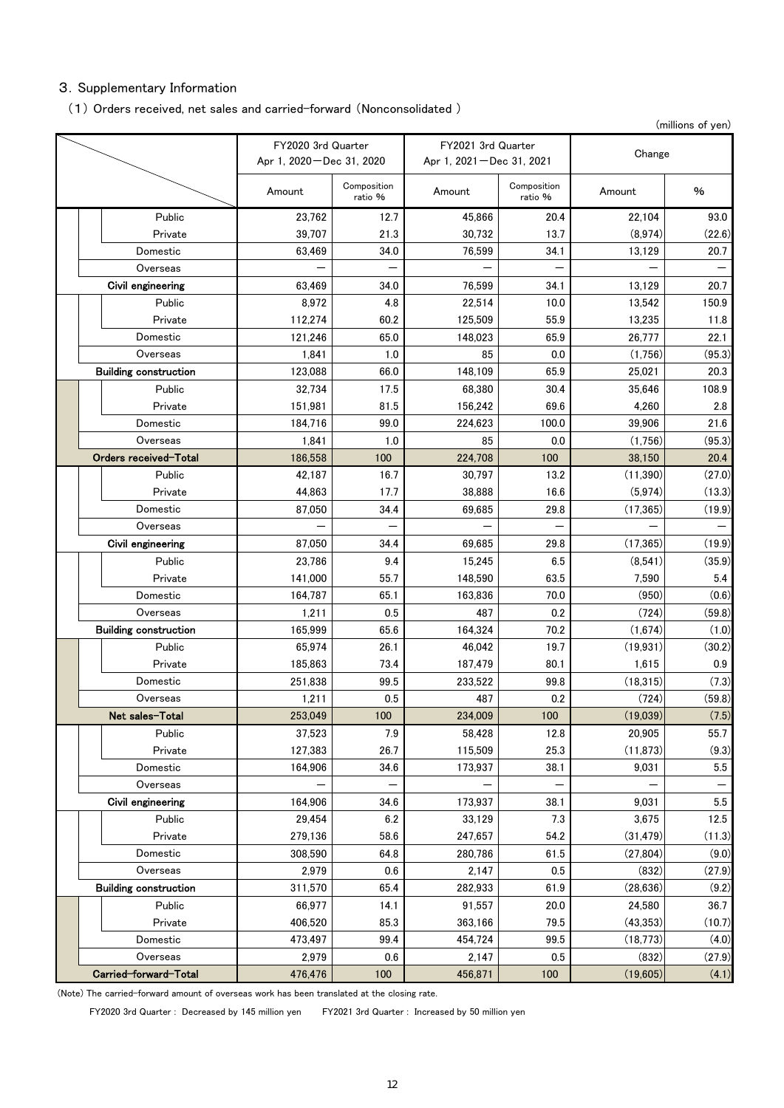# 3.Supplementary Information

### (1) Orders received, net sales and carried-forward (Nonconsolidated )

(millions of yen)

|  |                              | FY2020 3rd Quarter<br>Apr 1, 2020 – Dec 31, 2020 |                        | FY2021 3rd Quarter<br>Apr 1, 2021 – Dec 31, 2021 |                        | Change    |         |  |
|--|------------------------------|--------------------------------------------------|------------------------|--------------------------------------------------|------------------------|-----------|---------|--|
|  |                              | Amount                                           | Composition<br>ratio % | Amount                                           | Composition<br>ratio % | Amount    | %       |  |
|  | Public                       | 23,762                                           | 12.7                   | 45,866                                           | 20.4                   | 22,104    | 93.0    |  |
|  | Private                      | 39,707                                           | 21.3                   | 30,732                                           | 13.7                   | (8,974)   | (22.6)  |  |
|  | Domestic                     | 63,469                                           | 34.0                   | 76,599                                           | 34.1                   | 13,129    | 20.7    |  |
|  | Overseas                     |                                                  |                        |                                                  |                        |           |         |  |
|  | Civil engineering            | 63,469                                           | 34.0                   | 76,599                                           | 34.1                   | 13,129    | 20.7    |  |
|  | Public                       | 8,972                                            | 4.8                    | 22,514                                           | 10.0                   | 13.542    | 150.9   |  |
|  | Private                      | 112,274                                          | 60.2                   | 125,509                                          | 55.9                   | 13,235    | 11.8    |  |
|  | Domestic                     | 121,246                                          | 65.0                   | 148,023                                          | 65.9                   | 26,777    | 22.1    |  |
|  | Overseas                     | 1,841                                            | 1.0                    | 85                                               | 0.0                    | (1,756)   | (95.3)  |  |
|  | <b>Building construction</b> | 123,088                                          | 66.0                   | 148,109                                          | 65.9                   | 25,021    | 20.3    |  |
|  | Public                       | 32,734                                           | 17.5                   | 68.380                                           | 30.4                   | 35,646    | 108.9   |  |
|  | Private                      | 151,981                                          | 81.5                   | 156,242                                          | 69.6                   | 4,260     | 2.8     |  |
|  | Domestic                     | 184,716                                          | 99.0                   | 224,623                                          | 100.0                  | 39,906    | 21.6    |  |
|  | Overseas                     | 1,841                                            | 1.0                    | 85                                               | 0.0                    | (1,756)   | (95.3)  |  |
|  | Orders received-Total        | 186,558                                          | 100                    | 224,708                                          | 100                    | 38.150    | 20.4    |  |
|  | Public                       | 42,187                                           | 16.7                   | 30,797                                           | 13.2                   | (11, 390) | (27.0)  |  |
|  | Private                      | 44,863                                           | 17.7                   | 38,888                                           | 16.6                   | (5, 974)  | (13.3)  |  |
|  | Domestic                     | 87,050                                           | 34.4                   | 69,685                                           | 29.8                   | (17, 365) | (19.9)  |  |
|  | Overseas                     |                                                  |                        |                                                  |                        |           |         |  |
|  | Civil engineering            | 87,050                                           | 34.4                   | 69,685                                           | 29.8                   | (17, 365) | (19.9)  |  |
|  | Public                       | 23,786                                           | 9.4                    | 15,245                                           | 6.5                    | (8,541)   | (35.9)  |  |
|  | Private                      | 141,000                                          | 55.7                   | 148,590                                          | 63.5                   | 7,590     | 5.4     |  |
|  | Domestic                     | 164,787                                          | 65.1                   | 163,836                                          | 70.0<br>0.2            | (950)     | (0.6)   |  |
|  | Overseas                     | 1,211                                            | 0.5                    | 487                                              |                        | (724)     | (59.8)  |  |
|  | <b>Building construction</b> | 165,999                                          | 65.6                   | 164,324                                          | 70.2                   | (1,674)   | (1.0)   |  |
|  | Public                       | 65,974                                           | 26.1                   | 46,042                                           | 19.7                   | (19, 931) | (30.2)  |  |
|  | Private                      | 185,863                                          | 73.4                   | 187,479                                          | 80.1                   | 1,615     | 0.9     |  |
|  | Domestic                     | 251,838                                          | 99.5                   | 233,522                                          | 99.8                   | (18, 315) | (7.3)   |  |
|  | Overseas                     | 1,211                                            | 0.5                    | 487                                              | 0.2                    | (724)     | (59.8)  |  |
|  | Net sales-Total              | 253,049                                          | 100                    | 234,009                                          | 100                    | (19,039)  | (7.5)   |  |
|  | Public                       | 37,523                                           | 7.9                    | 58,428                                           | 12.8                   | 20,905    | 55.7    |  |
|  | Private                      | 127,383                                          | 26.7                   | 115,509                                          | 25.3                   | (11, 873) | (9.3)   |  |
|  | Domestic                     | 164,906                                          | 34.6                   | 173,937                                          | 38.1                   | 9,031     | 5.5     |  |
|  | Overseas                     |                                                  |                        |                                                  |                        |           |         |  |
|  | Civil engineering            | 164,906                                          | 34.6                   | 173,937                                          | 38.1                   | 9,031     | $5.5\,$ |  |
|  | Public                       | 29,454                                           | 6.2                    | 33,129                                           | 7.3                    | 3,675     | 12.5    |  |
|  | Private                      | 279,136                                          | 58.6                   | 247,657                                          | 54.2                   | (31, 479) | (11.3)  |  |
|  | Domestic                     | 308,590                                          | 64.8                   | 280,786                                          | 61.5                   | (27, 804) | (9.0)   |  |
|  | Overseas                     | 2,979                                            | 0.6                    | 2,147                                            | 0.5                    | (832)     | (27.9)  |  |
|  | <b>Building construction</b> | 311,570                                          | 65.4                   | 282,933                                          | 61.9                   | (28, 636) | (9.2)   |  |
|  | Public                       | 66,977                                           | 14.1                   | 91,557                                           | 20.0                   | 24,580    | 36.7    |  |
|  | Private                      | 406,520                                          | 85.3                   | 363,166                                          | 79.5                   | (43, 353) | (10.7)  |  |
|  | Domestic                     | 473,497                                          | 99.4                   | 454,724                                          | 99.5                   | (18, 773) | (4.0)   |  |
|  | Overseas                     | 2,979                                            | 0.6                    | 2,147                                            | 0.5                    | (832)     | (27.9)  |  |
|  | Carried-forward-Total        | 476,476                                          | 100                    | 456,871                                          | 100                    | (19,605)  | (4.1)   |  |

(Note) The carried-forward amount of overseas work has been translated at the closing rate.

FY2020 3rd Quarter : Decreased by 145 million yen FY2021 3rd Quarter : Increased by 50 million yen